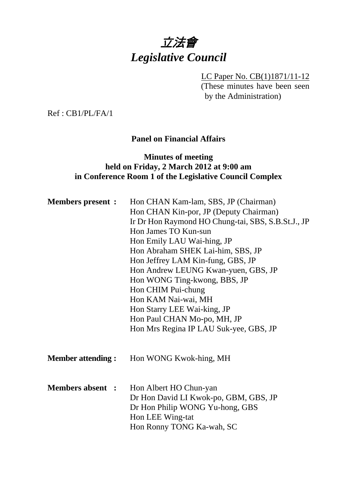# 立法會 *Legislative Council*

LC Paper No. CB(1)1871/11-12 (These minutes have been seen by the Administration)

Ref : CB1/PL/FA/1

# **Panel on Financial Affairs**

# **Minutes of meeting held on Friday, 2 March 2012 at 9:00 am in Conference Room 1 of the Legislative Council Complex**

| <b>Members present :</b>  | Hon CHAN Kam-lam, SBS, JP (Chairman)<br>Hon CHAN Kin-por, JP (Deputy Chairman)<br>Ir Dr Hon Raymond HO Chung-tai, SBS, S.B.St.J., JP<br>Hon James TO Kun-sun<br>Hon Emily LAU Wai-hing, JP<br>Hon Abraham SHEK Lai-him, SBS, JP<br>Hon Jeffrey LAM Kin-fung, GBS, JP<br>Hon Andrew LEUNG Kwan-yuen, GBS, JP<br>Hon WONG Ting-kwong, BBS, JP<br>Hon CHIM Pui-chung<br>Hon KAM Nai-wai, MH<br>Hon Starry LEE Wai-king, JP<br>Hon Paul CHAN Mo-po, MH, JP<br>Hon Mrs Regina IP LAU Suk-yee, GBS, JP |  |  |
|---------------------------|--------------------------------------------------------------------------------------------------------------------------------------------------------------------------------------------------------------------------------------------------------------------------------------------------------------------------------------------------------------------------------------------------------------------------------------------------------------------------------------------------|--|--|
| <b>Member attending :</b> | Hon WONG Kwok-hing, MH                                                                                                                                                                                                                                                                                                                                                                                                                                                                           |  |  |
| <b>Members absent :</b>   | Hon Albert HO Chun-yan<br>Dr Hon David LI Kwok-po, GBM, GBS, JP<br>Dr Hon Philip WONG Yu-hong, GBS<br>Hon LEE Wing-tat<br>Hon Ronny TONG Ka-wah, SC                                                                                                                                                                                                                                                                                                                                              |  |  |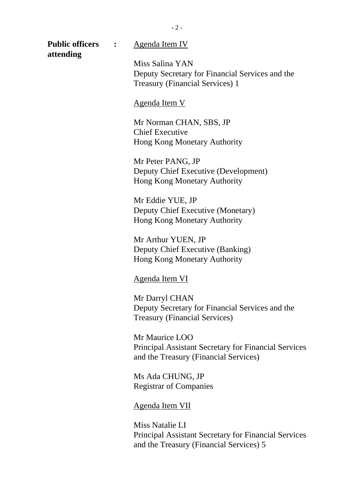**attending** 

#### **Public officers :** Agenda Item IV

Miss Salina YAN Deputy Secretary for Financial Services and the Treasury (Financial Services) 1

#### Agenda Item V

Mr Norman CHAN, SBS, JP Chief Executive Hong Kong Monetary Authority

Mr Peter PANG, JP Deputy Chief Executive (Development) Hong Kong Monetary Authority

Mr Eddie YUE, JP Deputy Chief Executive (Monetary) Hong Kong Monetary Authority

Mr Arthur YUEN, JP Deputy Chief Executive (Banking) Hong Kong Monetary Authority

#### Agenda Item VI

Mr Darryl CHAN Deputy Secretary for Financial Services and the Treasury (Financial Services)

Mr Maurice LOO Principal Assistant Secretary for Financial Services and the Treasury (Financial Services)

Ms Ada CHUNG, JP Registrar of Companies

#### Agenda Item VII

Miss Natalie LI Principal Assistant Secretary for Financial Services and the Treasury (Financial Services) 5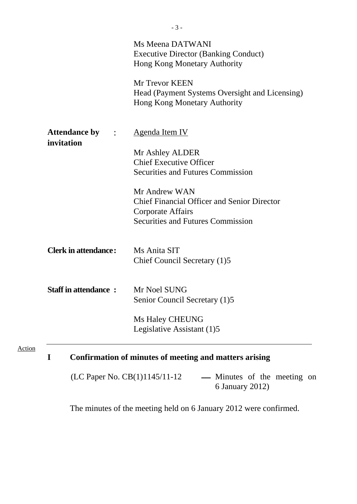|                                        | Ms Meena DATWANI<br><b>Executive Director (Banking Conduct)</b><br>Hong Kong Monetary Authority  |
|----------------------------------------|--------------------------------------------------------------------------------------------------|
|                                        | Mr Trevor KEEN<br>Head (Payment Systems Oversight and Licensing)<br>Hong Kong Monetary Authority |
| <b>Attendance by : :</b><br>invitation | <b>Agenda Item IV</b>                                                                            |
|                                        | Mr Ashley ALDER                                                                                  |
|                                        | <b>Chief Executive Officer</b>                                                                   |
|                                        | <b>Securities and Futures Commission</b>                                                         |
|                                        |                                                                                                  |
|                                        | Mr Andrew WAN                                                                                    |
|                                        | <b>Chief Financial Officer and Senior Director</b>                                               |
|                                        | Corporate Affairs                                                                                |
|                                        | <b>Securities and Futures Commission</b>                                                         |
| <b>Clerk in attendance:</b>            | Ms Anita SIT                                                                                     |
|                                        | Chief Council Secretary (1)5                                                                     |
| <b>Staff in attendance:</b>            | Mr Noel SUNG                                                                                     |
|                                        | Senior Council Secretary (1)5                                                                    |
|                                        | <b>Ms Haley CHEUNG</b>                                                                           |
|                                        | Legislative Assistant (1)5                                                                       |

(LC Paper No.  $CB(1)1145/11-12$  --- Minutes of the meeting on 6 January 2012)

The minutes of the meeting held on 6 January 2012 were confirmed.

Action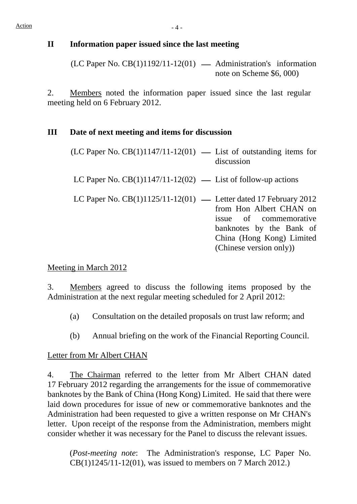# **II Information paper issued since the last meeting**

 $(LC$  Paper No.  $CB(1)1192/11-12(01)$  — Administration's information note on Scheme \$6, 000)

2. Members noted the information paper issued since the last regular meeting held on 6 February 2012.

### **III Date of next meeting and items for discussion**

| $(LC$ Paper No. $CB(1)1147/11-12(01)$ — List of outstanding items for | discussion                                                                                                                            |
|-----------------------------------------------------------------------|---------------------------------------------------------------------------------------------------------------------------------------|
| LC Paper No. $CB(1)1147/11-12(02)$ — List of follow-up actions        |                                                                                                                                       |
| LC Paper No. $CB(1)1125/11-12(01)$ — Letter dated 17 February 2012    | from Hon Albert CHAN on<br>issue of commemorative<br>banknotes by the Bank of<br>China (Hong Kong) Limited<br>(Chinese version only)) |

### Meeting in March 2012

3. Members agreed to discuss the following items proposed by the Administration at the next regular meeting scheduled for 2 April 2012:

- (a) Consultation on the detailed proposals on trust law reform; and
- (b) Annual briefing on the work of the Financial Reporting Council.

### Letter from Mr Albert CHAN

4. The Chairman referred to the letter from Mr Albert CHAN dated 17 February 2012 regarding the arrangements for the issue of commemorative banknotes by the Bank of China (Hong Kong) Limited. He said that there were laid down procedures for issue of new or commemorative banknotes and the Administration had been requested to give a written response on Mr CHAN's letter. Upon receipt of the response from the Administration, members might consider whether it was necessary for the Panel to discuss the relevant issues.

(*Post-meeting note*: The Administration's response, LC Paper No. CB(1)1245/11-12(01), was issued to members on 7 March 2012.)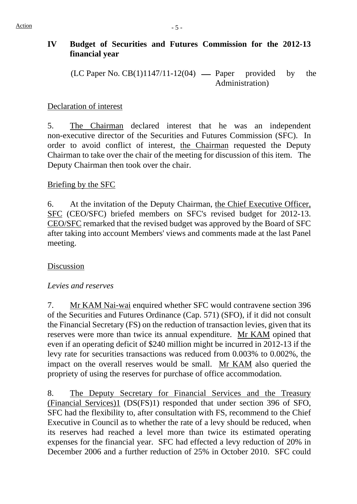# **IV Budget of Securities and Futures Commission for the 2012-13 financial year**

 $(LC$  Paper No.  $CB(1)1147/11-12(04)$  — Paper provided by the Administration)

## Declaration of interest

5. The Chairman declared interest that he was an independent non-executive director of the Securities and Futures Commission (SFC). In order to avoid conflict of interest, the Chairman requested the Deputy Chairman to take over the chair of the meeting for discussion of this item. The Deputy Chairman then took over the chair.

# Briefing by the SFC

6. At the invitation of the Deputy Chairman, the Chief Executive Officer, SFC (CEO/SFC) briefed members on SFC's revised budget for 2012-13. CEO/SFC remarked that the revised budget was approved by the Board of SFC after taking into account Members' views and comments made at the last Panel meeting.

# Discussion

### *Levies and reserves*

7. Mr KAM Nai-wai enquired whether SFC would contravene section 396 of the Securities and Futures Ordinance (Cap. 571) (SFO), if it did not consult the Financial Secretary (FS) on the reduction of transaction levies, given that its reserves were more than twice its annual expenditure. Mr KAM opined that even if an operating deficit of \$240 million might be incurred in 2012-13 if the levy rate for securities transactions was reduced from 0.003% to 0.002%, the impact on the overall reserves would be small. Mr KAM also queried the propriety of using the reserves for purchase of office accommodation.

8. The Deputy Secretary for Financial Services and the Treasury (Financial Services)1 (DS(FS)1) responded that under section 396 of SFO, SFC had the flexibility to, after consultation with FS, recommend to the Chief Executive in Council as to whether the rate of a levy should be reduced, when its reserves had reached a level more than twice its estimated operating expenses for the financial year. SFC had effected a levy reduction of 20% in December 2006 and a further reduction of 25% in October 2010. SFC could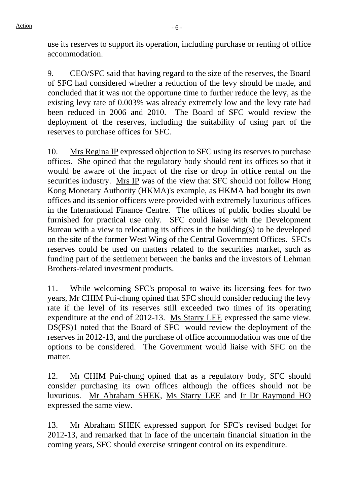use its reserves to support its operation, including purchase or renting of office accommodation.

9. CEO/SFC said that having regard to the size of the reserves, the Board of SFC had considered whether a reduction of the levy should be made, and concluded that it was not the opportune time to further reduce the levy, as the existing levy rate of 0.003% was already extremely low and the levy rate had been reduced in 2006 and 2010. The Board of SFC would review the deployment of the reserves, including the suitability of using part of the reserves to purchase offices for SFC.

10. Mrs Regina IP expressed objection to SFC using its reserves to purchase offices. She opined that the regulatory body should rent its offices so that it would be aware of the impact of the rise or drop in office rental on the securities industry. Mrs IP was of the view that SFC should not follow Hong Kong Monetary Authority (HKMA)'s example, as HKMA had bought its own offices and its senior officers were provided with extremely luxurious offices in the International Finance Centre. The offices of public bodies should be furnished for practical use only. SFC could liaise with the Development Bureau with a view to relocating its offices in the building(s) to be developed on the site of the former West Wing of the Central Government Offices. SFC's reserves could be used on matters related to the securities market, such as funding part of the settlement between the banks and the investors of Lehman Brothers-related investment products.

11. While welcoming SFC's proposal to waive its licensing fees for two years, Mr CHIM Pui-chung opined that SFC should consider reducing the levy rate if the level of its reserves still exceeded two times of its operating expenditure at the end of 2012-13. Ms Starry LEE expressed the same view. DS(FS)1 noted that the Board of SFC would review the deployment of the reserves in 2012-13, and the purchase of office accommodation was one of the options to be considered. The Government would liaise with SFC on the matter.

12. Mr CHIM Pui-chung opined that as a regulatory body, SFC should consider purchasing its own offices although the offices should not be luxurious. Mr Abraham SHEK, Ms Starry LEE and Ir Dr Raymond HO expressed the same view.

13. Mr Abraham SHEK expressed support for SFC's revised budget for 2012-13, and remarked that in face of the uncertain financial situation in the coming years, SFC should exercise stringent control on its expenditure.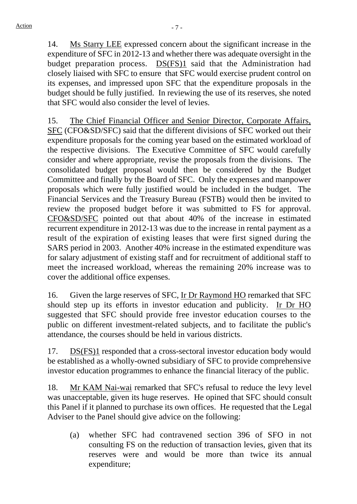14. Ms Starry LEE expressed concern about the significant increase in the expenditure of SFC in 2012-13 and whether there was adequate oversight in the budget preparation process. DS(FS)1 said that the Administration had closely liaised with SFC to ensure that SFC would exercise prudent control on its expenses, and impressed upon SFC that the expenditure proposals in the budget should be fully justified. In reviewing the use of its reserves, she noted that SFC would also consider the level of levies.

15. The Chief Financial Officer and Senior Director, Corporate Affairs, SFC (CFO&SD/SFC) said that the different divisions of SFC worked out their expenditure proposals for the coming year based on the estimated workload of the respective divisions. The Executive Committee of SFC would carefully consider and where appropriate, revise the proposals from the divisions. The consolidated budget proposal would then be considered by the Budget Committee and finally by the Board of SFC. Only the expenses and manpower proposals which were fully justified would be included in the budget. The Financial Services and the Treasury Bureau (FSTB) would then be invited to review the proposed budget before it was submitted to FS for approval. CFO&SD/SFC pointed out that about 40% of the increase in estimated recurrent expenditure in 2012-13 was due to the increase in rental payment as a result of the expiration of existing leases that were first signed during the SARS period in 2003. Another 40% increase in the estimated expenditure was for salary adjustment of existing staff and for recruitment of additional staff to meet the increased workload, whereas the remaining 20% increase was to cover the additional office expenses.

16. Given the large reserves of SFC, Ir Dr Raymond HO remarked that SFC should step up its efforts in investor education and publicity. Ir Dr HO suggested that SFC should provide free investor education courses to the public on different investment-related subjects, and to facilitate the public's attendance, the courses should be held in various districts.

17. DS(FS)1 responded that a cross-sectoral investor education body would be established as a wholly-owned subsidiary of SFC to provide comprehensive investor education programmes to enhance the financial literacy of the public.

18. Mr KAM Nai-wai remarked that SFC's refusal to reduce the levy level was unacceptable, given its huge reserves. He opined that SFC should consult this Panel if it planned to purchase its own offices. He requested that the Legal Adviser to the Panel should give advice on the following:

(a) whether SFC had contravened section 396 of SFO in not consulting FS on the reduction of transaction levies, given that its reserves were and would be more than twice its annual expenditure;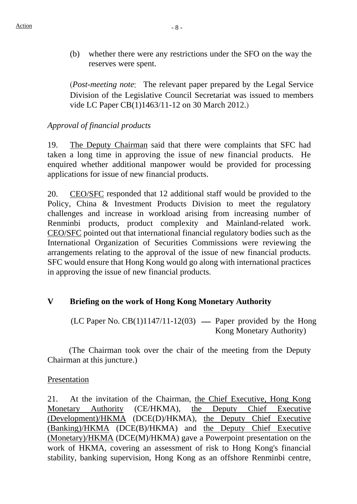(b) whether there were any restrictions under the SFO on the way the reserves were spent.

(*Post-meeting note*: The relevant paper prepared by the Legal Service Division of the Legislative Council Secretariat was issued to members vide LC Paper CB(1)1463/11-12 on 30 March 2012.)

# *Approval of financial products*

19. The Deputy Chairman said that there were complaints that SFC had taken a long time in approving the issue of new financial products. He enquired whether additional manpower would be provided for processing applications for issue of new financial products.

20. CEO/SFC responded that 12 additional staff would be provided to the Policy, China & Investment Products Division to meet the regulatory challenges and increase in workload arising from increasing number of Renminbi products, product complexity and Mainland-related work. CEO/SFC pointed out that international financial regulatory bodies such as the International Organization of Securities Commissions were reviewing the arrangements relating to the approval of the issue of new financial products. SFC would ensure that Hong Kong would go along with international practices in approving the issue of new financial products.

# **V Briefing on the work of Hong Kong Monetary Authority**

(LC Paper No. CB(1)1147/11-12(03) — Paper provided by the Hong Kong Monetary Authority)

 (The Chairman took over the chair of the meeting from the Deputy Chairman at this juncture.)

### Presentation

21. At the invitation of the Chairman, the Chief Executive, Hong Kong Monetary Authority (CE/HKMA), the Deputy Chief Executive (Development)/HKMA (DCE(D)/HKMA), the Deputy Chief Executive (Banking)/HKMA (DCE(B)/HKMA) and the Deputy Chief Executive (Monetary)/HKMA (DCE(M)/HKMA) gave a Powerpoint presentation on the work of HKMA, covering an assessment of risk to Hong Kong's financial stability, banking supervision, Hong Kong as an offshore Renminbi centre,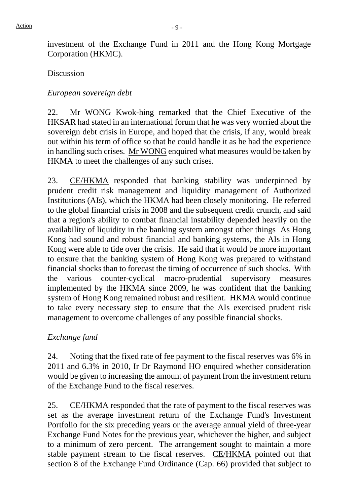investment of the Exchange Fund in 2011 and the Hong Kong Mortgage Corporation (HKMC).

### Discussion

## *European sovereign debt*

22. Mr WONG Kwok-hing remarked that the Chief Executive of the HKSAR had stated in an international forum that he was very worried about the sovereign debt crisis in Europe, and hoped that the crisis, if any, would break out within his term of office so that he could handle it as he had the experience in handling such crises. Mr WONG enquired what measures would be taken by HKMA to meet the challenges of any such crises.

23. CE/HKMA responded that banking stability was underpinned by prudent credit risk management and liquidity management of Authorized Institutions (AIs), which the HKMA had been closely monitoring. He referred to the global financial crisis in 2008 and the subsequent credit crunch, and said that a region's ability to combat financial instability depended heavily on the availability of liquidity in the banking system amongst other things As Hong Kong had sound and robust financial and banking systems, the AIs in Hong Kong were able to tide over the crisis. He said that it would be more important to ensure that the banking system of Hong Kong was prepared to withstand financial shocks than to forecast the timing of occurrence of such shocks. With the various counter-cyclical macro-prudential supervisory measures implemented by the HKMA since 2009, he was confident that the banking system of Hong Kong remained robust and resilient. HKMA would continue to take every necessary step to ensure that the AIs exercised prudent risk management to overcome challenges of any possible financial shocks.

# *Exchange fund*

24. Noting that the fixed rate of fee payment to the fiscal reserves was 6% in 2011 and 6.3% in 2010, Ir Dr Raymond HO enquired whether consideration would be given to increasing the amount of payment from the investment return of the Exchange Fund to the fiscal reserves.

25. CE/HKMA responded that the rate of payment to the fiscal reserves was set as the average investment return of the Exchange Fund's Investment Portfolio for the six preceding years or the average annual yield of three-year Exchange Fund Notes for the previous year, whichever the higher, and subject to a minimum of zero percent. The arrangement sought to maintain a more stable payment stream to the fiscal reserves. CE/HKMA pointed out that section 8 of the Exchange Fund Ordinance (Cap. 66) provided that subject to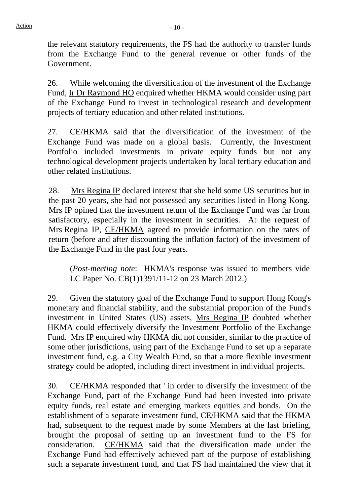the relevant statutory requirements, the FS had the authority to transfer funds from the Exchange Fund to the general revenue or other funds of the Government.

26. While welcoming the diversification of the investment of the Exchange Fund, Ir Dr Raymond HO enquired whether HKMA would consider using part of the Exchange Fund to invest in technological research and development projects of tertiary education and other related institutions.

27. CE/HKMA said that the diversification of the investment of the Exchange Fund was made on a global basis. Currently, the Investment Portfolio included investments in private equity funds but not any technological development projects undertaken by local tertiary education and other related institutions.

28. Mrs Regina IP declared interest that she held some US securities but in the past 20 years, she had not possessed any securities listed in Hong Kong. Mrs IP opined that the investment return of the Exchange Fund was far from satisfactory, especially in the investment in securities. At the request of Mrs Regina IP, CE/HKMA agreed to provide information on the rates of return (before and after discounting the inflation factor) of the investment of the Exchange Fund in the past four years.

(*Post-meeting note*: HKMA's response was issued to members vide LC Paper No. CB(1)1391/11-12 on 23 March 2012.)

29. Given the statutory goal of the Exchange Fund to support Hong Kong's monetary and financial stability, and the substantial proportion of the Fund's investment in United States (US) assets, Mrs Regina IP doubted whether HKMA could effectively diversify the Investment Portfolio of the Exchange Fund. Mrs IP enquired why HKMA did not consider, similar to the practice of some other jurisdictions, using part of the Exchange Fund to set up a separate investment fund, e.g. a City Wealth Fund, so that a more flexible investment strategy could be adopted, including direct investment in individual projects.

30. CE/HKMA responded that ' in order to diversify the investment of the Exchange Fund, part of the Exchange Fund had been invested into private equity funds, real estate and emerging markets equities and bonds. On the establishment of a separate investment fund, CE/HKMA said that the HKMA had, subsequent to the request made by some Members at the last briefing, brought the proposal of setting up an investment fund to the FS for consideration. CE/HKMA said that the diversification made under the Exchange Fund had effectively achieved part of the purpose of establishing such a separate investment fund, and that FS had maintained the view that it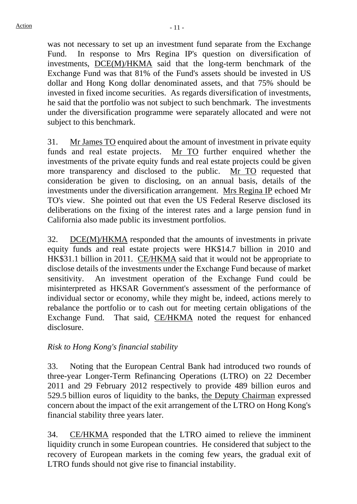was not necessary to set up an investment fund separate from the Exchange Fund. In response to Mrs Regina IP's question on diversification of investments, DCE(M)/HKMA said that the long-term benchmark of the Exchange Fund was that 81% of the Fund's assets should be invested in US dollar and Hong Kong dollar denominated assets, and that 75% should be invested in fixed income securities. As regards diversification of investments, he said that the portfolio was not subject to such benchmark. The investments under the diversification programme were separately allocated and were not subject to this benchmark.

31. Mr James TO enquired about the amount of investment in private equity funds and real estate projects. Mr TO further enquired whether the investments of the private equity funds and real estate projects could be given more transparency and disclosed to the public. Mr TO requested that consideration be given to disclosing, on an annual basis, details of the investments under the diversification arrangement. Mrs Regina IP echoed Mr TO's view. She pointed out that even the US Federal Reserve disclosed its deliberations on the fixing of the interest rates and a large pension fund in California also made public its investment portfolios.

32. DCE(M)/HKMA responded that the amounts of investments in private equity funds and real estate projects were HK\$14.7 billion in 2010 and HK\$31.1 billion in 2011. CE/HKMA said that it would not be appropriate to disclose details of the investments under the Exchange Fund because of market sensitivity. An investment operation of the Exchange Fund could be misinterpreted as HKSAR Government's assessment of the performance of individual sector or economy, while they might be, indeed, actions merely to rebalance the portfolio or to cash out for meeting certain obligations of the Exchange Fund. That said, CE/HKMA noted the request for enhanced disclosure.

# *Risk to Hong Kong's financial stability*

33. Noting that the European Central Bank had introduced two rounds of three-year Longer-Term Refinancing Operations (LTRO) on 22 December 2011 and 29 February 2012 respectively to provide 489 billion euros and 529.5 billion euros of liquidity to the banks, the Deputy Chairman expressed concern about the impact of the exit arrangement of the LTRO on Hong Kong's financial stability three years later.

34. CE/HKMA responded that the LTRO aimed to relieve the imminent liquidity crunch in some European countries. He considered that subject to the recovery of European markets in the coming few years, the gradual exit of LTRO funds should not give rise to financial instability.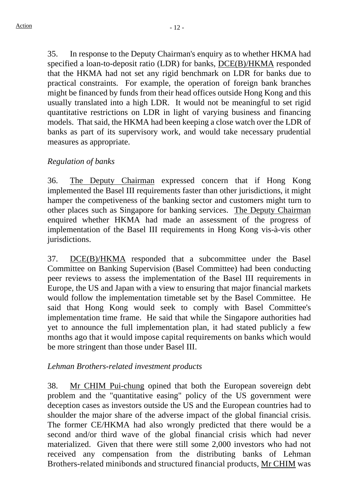35. In response to the Deputy Chairman's enquiry as to whether HKMA had specified a loan-to-deposit ratio (LDR) for banks, DCE(B)/HKMA responded that the HKMA had not set any rigid benchmark on LDR for banks due to practical constraints. For example, the operation of foreign bank branches might be financed by funds from their head offices outside Hong Kong and this usually translated into a high LDR. It would not be meaningful to set rigid quantitative restrictions on LDR in light of varying business and financing models. That said, the HKMA had been keeping a close watch over the LDR of banks as part of its supervisory work, and would take necessary prudential measures as appropriate.

# *Regulation of banks*

36. The Deputy Chairman expressed concern that if Hong Kong implemented the Basel III requirements faster than other jurisdictions, it might hamper the competiveness of the banking sector and customers might turn to other places such as Singapore for banking services. The Deputy Chairman enquired whether HKMA had made an assessment of the progress of implementation of the Basel III requirements in Hong Kong vis-à-vis other jurisdictions.

37. DCE(B)/HKMA responded that a subcommittee under the Basel Committee on Banking Supervision (Basel Committee) had been conducting peer reviews to assess the implementation of the Basel III requirements in Europe, the US and Japan with a view to ensuring that major financial markets would follow the implementation timetable set by the Basel Committee. He said that Hong Kong would seek to comply with Basel Committee's implementation time frame. He said that while the Singapore authorities had yet to announce the full implementation plan, it had stated publicly a few months ago that it would impose capital requirements on banks which would be more stringent than those under Basel III.

### *Lehman Brothers-related investment products*

38. Mr CHIM Pui-chung opined that both the European sovereign debt problem and the "quantitative easing" policy of the US government were deception cases as investors outside the US and the European countries had to shoulder the major share of the adverse impact of the global financial crisis. The former CE/HKMA had also wrongly predicted that there would be a second and/or third wave of the global financial crisis which had never materialized. Given that there were still some 2,000 investors who had not received any compensation from the distributing banks of Lehman Brothers-related minibonds and structured financial products, Mr CHIM was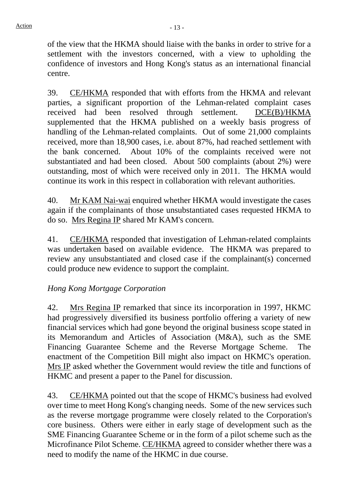of the view that the HKMA should liaise with the banks in order to strive for a settlement with the investors concerned, with a view to upholding the confidence of investors and Hong Kong's status as an international financial centre.

39. CE/HKMA responded that with efforts from the HKMA and relevant parties, a significant proportion of the Lehman-related complaint cases received had been resolved through settlement. DCE(B)/HKMA supplemented that the HKMA published on a weekly basis progress of handling of the Lehman-related complaints. Out of some 21,000 complaints received, more than 18,900 cases, i.e. about 87%, had reached settlement with the bank concerned. About 10% of the complaints received were not substantiated and had been closed. About 500 complaints (about 2%) were outstanding, most of which were received only in 2011. The HKMA would continue its work in this respect in collaboration with relevant authorities.

40. Mr KAM Nai-wai enquired whether HKMA would investigate the cases again if the complainants of those unsubstantiated cases requested HKMA to do so. Mrs Regina IP shared Mr KAM's concern.

41. CE/HKMA responded that investigation of Lehman-related complaints was undertaken based on available evidence. The HKMA was prepared to review any unsubstantiated and closed case if the complainant(s) concerned could produce new evidence to support the complaint.

# *Hong Kong Mortgage Corporation*

42. Mrs Regina IP remarked that since its incorporation in 1997, HKMC had progressively diversified its business portfolio offering a variety of new financial services which had gone beyond the original business scope stated in its Memorandum and Articles of Association (M&A), such as the SME Financing Guarantee Scheme and the Reverse Mortgage Scheme. The enactment of the Competition Bill might also impact on HKMC's operation. Mrs IP asked whether the Government would review the title and functions of HKMC and present a paper to the Panel for discussion.

 43. CE/HKMA pointed out that the scope of HKMC's business had evolved over time to meet Hong Kong's changing needs. Some of the new services such as the reverse mortgage programme were closely related to the Corporation's core business. Others were either in early stage of development such as the SME Financing Guarantee Scheme or in the form of a pilot scheme such as the Microfinance Pilot Scheme. CE/HKMA agreed to consider whether there was a need to modify the name of the HKMC in due course.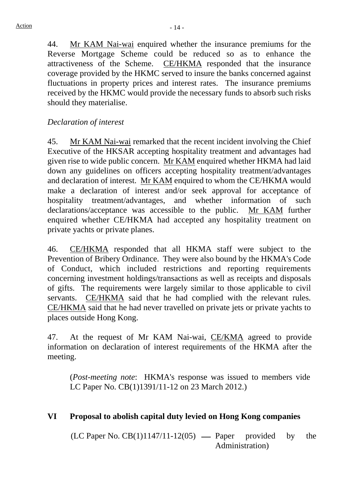44. Mr KAM Nai-wai enquired whether the insurance premiums for the Reverse Mortgage Scheme could be reduced so as to enhance the attractiveness of the Scheme. CE/HKMA responded that the insurance coverage provided by the HKMC served to insure the banks concerned against fluctuations in property prices and interest rates. The insurance premiums received by the HKMC would provide the necessary funds to absorb such risks should they materialise.

#### *Declaration of interest*

45. Mr KAM Nai-wai remarked that the recent incident involving the Chief Executive of the HKSAR accepting hospitality treatment and advantages had given rise to wide public concern. Mr KAM enquired whether HKMA had laid down any guidelines on officers accepting hospitality treatment/advantages and declaration of interest. Mr KAM enquired to whom the CE/HKMA would make a declaration of interest and/or seek approval for acceptance of hospitality treatment/advantages, and whether information of such declarations/acceptance was accessible to the public. Mr KAM further enquired whether CE/HKMA had accepted any hospitality treatment on private yachts or private planes.

46. CE/HKMA responded that all HKMA staff were subject to the Prevention of Bribery Ordinance. They were also bound by the HKMA's Code of Conduct, which included restrictions and reporting requirements concerning investment holdings/transactions as well as receipts and disposals of gifts. The requirements were largely similar to those applicable to civil servants. CE/HKMA said that he had complied with the relevant rules. CE/HKMA said that he had never travelled on private jets or private yachts to places outside Hong Kong.

47. At the request of Mr KAM Nai-wai, CE/KMA agreed to provide information on declaration of interest requirements of the HKMA after the meeting.

(*Post-meeting note*: HKMA's response was issued to members vide LC Paper No. CB(1)1391/11-12 on 23 March 2012.)

#### **VI Proposal to abolish capital duty levied on Hong Kong companies**

 $(LC$  Paper No.  $CB(1)1147/11-12(05)$  — Paper provided by the Administration)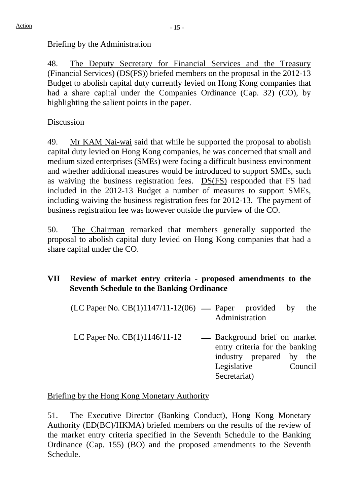# Briefing by the Administration

48. The Deputy Secretary for Financial Services and the Treasury (Financial Services) (DS(FS)) briefed members on the proposal in the 2012-13 Budget to abolish capital duty currently levied on Hong Kong companies that had a share capital under the Companies Ordinance (Cap. 32) (CO), by highlighting the salient points in the paper.

Discussion

49. Mr KAM Nai-wai said that while he supported the proposal to abolish capital duty levied on Hong Kong companies, he was concerned that small and medium sized enterprises (SMEs) were facing a difficult business environment and whether additional measures would be introduced to support SMEs, such as waiving the business registration fees. DS(FS) responded that FS had included in the 2012-13 Budget a number of measures to support SMEs, including waiving the business registration fees for 2012-13. The payment of business registration fee was however outside the purview of the CO.

50. The Chairman remarked that members generally supported the proposal to abolish capital duty levied on Hong Kong companies that had a share capital under the CO.

# **VII Review of market entry criteria - proposed amendments to the Seventh Schedule to the Banking Ordinance**

| $(LC$ Paper No. $CB(1)1147/11-12(06)$ — Paper provided |                |                                | by | the     |
|--------------------------------------------------------|----------------|--------------------------------|----|---------|
|                                                        | Administration |                                |    |         |
| LC Paper No. $CB(1)1146/11-12$                         |                | — Background brief on market   |    |         |
|                                                        |                | entry criteria for the banking |    |         |
|                                                        |                | industry prepared by the       |    |         |
|                                                        | Legislative    |                                |    | Council |
|                                                        | Secretariat)   |                                |    |         |

Briefing by the Hong Kong Monetary Authority

51. The Executive Director (Banking Conduct), Hong Kong Monetary Authority (ED(BC)/HKMA) briefed members on the results of the review of the market entry criteria specified in the Seventh Schedule to the Banking Ordinance (Cap. 155) (BO) and the proposed amendments to the Seventh Schedule.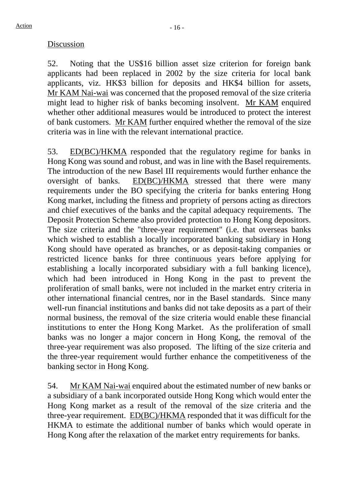#### Discussion

52. Noting that the US\$16 billion asset size criterion for foreign bank applicants had been replaced in 2002 by the size criteria for local bank applicants, viz. HK\$3 billion for deposits and HK\$4 billion for assets, Mr KAM Nai-wai was concerned that the proposed removal of the size criteria might lead to higher risk of banks becoming insolvent. Mr KAM enquired whether other additional measures would be introduced to protect the interest of bank customers. Mr KAM further enquired whether the removal of the size criteria was in line with the relevant international practice.

53. ED(BC)/HKMA responded that the regulatory regime for banks in Hong Kong was sound and robust, and was in line with the Basel requirements. The introduction of the new Basel III requirements would further enhance the oversight of banks. ED(BC)/HKMA stressed that there were many requirements under the BO specifying the criteria for banks entering Hong Kong market, including the fitness and propriety of persons acting as directors and chief executives of the banks and the capital adequacy requirements. The Deposit Protection Scheme also provided protection to Hong Kong depositors. The size criteria and the "three-year requirement" (i.e. that overseas banks which wished to establish a locally incorporated banking subsidiary in Hong Kong should have operated as branches, or as deposit-taking companies or restricted licence banks for three continuous years before applying for establishing a locally incorporated subsidiary with a full banking licence), which had been introduced in Hong Kong in the past to prevent the proliferation of small banks, were not included in the market entry criteria in other international financial centres, nor in the Basel standards. Since many well-run financial institutions and banks did not take deposits as a part of their normal business, the removal of the size criteria would enable these financial institutions to enter the Hong Kong Market. As the proliferation of small banks was no longer a major concern in Hong Kong, the removal of the three-year requirement was also proposed. The lifting of the size criteria and the three-year requirement would further enhance the competitiveness of the banking sector in Hong Kong.

54. Mr KAM Nai-wai enquired about the estimated number of new banks or a subsidiary of a bank incorporated outside Hong Kong which would enter the Hong Kong market as a result of the removal of the size criteria and the three-year requirement. ED(BC)/HKMA responded that it was difficult for the HKMA to estimate the additional number of banks which would operate in Hong Kong after the relaxation of the market entry requirements for banks.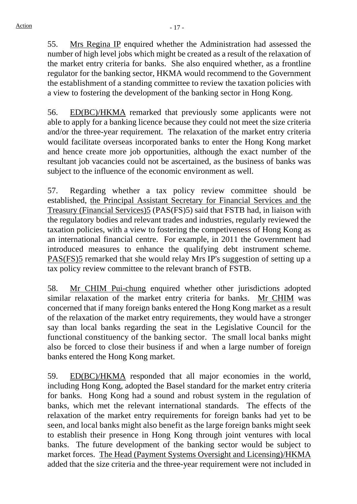55. Mrs Regina IP enquired whether the Administration had assessed the number of high level jobs which might be created as a result of the relaxation of the market entry criteria for banks. She also enquired whether, as a frontline regulator for the banking sector, HKMA would recommend to the Government the establishment of a standing committee to review the taxation policies with a view to fostering the development of the banking sector in Hong Kong.

56. ED(BC)/HKMA remarked that previously some applicants were not able to apply for a banking licence because they could not meet the size criteria and/or the three-year requirement. The relaxation of the market entry criteria would facilitate overseas incorporated banks to enter the Hong Kong market and hence create more job opportunities, although the exact number of the resultant job vacancies could not be ascertained, as the business of banks was subject to the influence of the economic environment as well.

57. Regarding whether a tax policy review committee should be established, the Principal Assistant Secretary for Financial Services and the Treasury (Financial Services)5 (PAS(FS)5) said that FSTB had, in liaison with the regulatory bodies and relevant trades and industries, regularly reviewed the taxation policies, with a view to fostering the competiveness of Hong Kong as an international financial centre. For example, in 2011 the Government had introduced measures to enhance the qualifying debt instrument scheme. PAS(FS)5 remarked that she would relay Mrs IP's suggestion of setting up a tax policy review committee to the relevant branch of FSTB.

58. Mr CHIM Pui-chung enquired whether other jurisdictions adopted similar relaxation of the market entry criteria for banks. Mr CHIM was concerned that if many foreign banks entered the Hong Kong market as a result of the relaxation of the market entry requirements, they would have a stronger say than local banks regarding the seat in the Legislative Council for the functional constituency of the banking sector. The small local banks might also be forced to close their business if and when a large number of foreign banks entered the Hong Kong market.

59. ED(BC)/HKMA responded that all major economies in the world, including Hong Kong, adopted the Basel standard for the market entry criteria for banks. Hong Kong had a sound and robust system in the regulation of banks, which met the relevant international standards. The effects of the relaxation of the market entry requirements for foreign banks had yet to be seen, and local banks might also benefit as the large foreign banks might seek to establish their presence in Hong Kong through joint ventures with local banks. The future development of the banking sector would be subject to market forces. The Head (Payment Systems Oversight and Licensing)/HKMA added that the size criteria and the three-year requirement were not included in